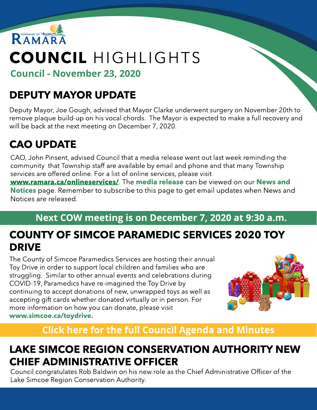

# COUNCIL HIGHLIGHTS

Council - November 23, 2020

# DEPUTY MAYOR UPDATE

Deputy Mayor, Joe Gough, advised that Mayor Clarke underwent surgery on November 20th to remove plaque build-up on his vocal chords. The Mayor is expected to make a full recovery and will be back at the next meeting on December 7, 2020.

# CAO UPDATE

CAO, John Pinsent, advised Council that a media release went out last week reminding the community that Township staff are available by email and phone and that many Township services are offered online. For a list of online services, please visit

ww[w.ramara.ca/onlineservices/](http://www.ramara.ca/onlineservices/). The [media](http://www.ramara.ca/en/news/media-release-ramara-reminds-residents-to-use-online-services.aspx) [release](http://www.ramara.ca/en/news/media-release-ramara-reminds-residents-to-use-online-services.aspx) can be viewed on our [New](https://www.ramara.ca/Modules/News/en)s [and](https://www.ramara.ca/Modules/News/en) [Notices](https://www.ramara.ca/Modules/News/en) page. Remember to subscribe to this page to get email updates when News and Notices are released.

#### Next COW meeting is on December 7, 2020 at 9:30 a.m.

### COUNTY OF SIMCOE PARAMEDIC SERVICES 2020 TOY DRIVE

The County of Simcoe Paramedics Services are hosting their annual Toy Drive in order to support local children and families who are struggling. Similar to other annual events and celebrations during COVID-19, Paramedics have re-imagined the Toy Drive by continuing to accept donations of new, unwrapped toys as well as accepting gift cards whether donated virtually or in person. For more information on how you can donate, please visit ww[w.simcoe.ca/toydrive.](http://www.simcoe.ca/toydrive)



### **[Click](https://ramara.civicweb.net/portal/) [here](https://ramara.civicweb.net/portal/) [for](https://ramara.civicweb.net/portal/) t[he](https://ramara.civicweb.net/portal/) [full](https://ramara.civicweb.net/portal/) [Council](https://ramara.civicweb.net/portal/) [Agenda](https://ramara.civicweb.net/portal/) [and](https://ramara.civicweb.net/portal/) [Minut](https://ramara.civicweb.net/portal/)es**

#### LAKE SIMCOE REGION CONSERVATION AUTHORITY NEW CHIEF ADMINISTRATIVE OFFICER

Council congratulates Rob Baldwin on his new role as the Chief Administrative Officer of the Lake Simcoe Region Conservation Authority.